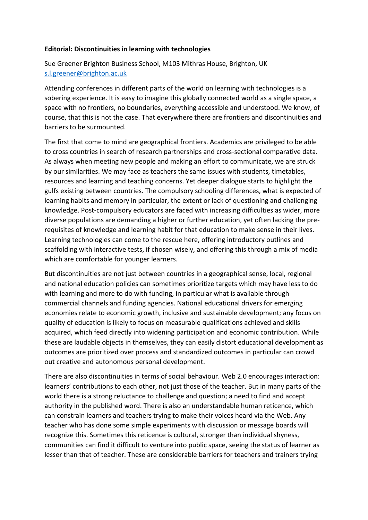## **Editorial: Discontinuities in learning with technologies**

Sue Greener Brighton Business School, M103 Mithras House, Brighton, UK [s.l.greener@brighton.ac.uk](mailto:s.l.greener@brighton.ac.uk)

Attending conferences in different parts of the world on learning with technologies is a sobering experience. It is easy to imagine this globally connected world as a single space, a space with no frontiers, no boundaries, everything accessible and understood. We know, of course, that this is not the case. That everywhere there are frontiers and discontinuities and barriers to be surmounted.

The first that come to mind are geographical frontiers. Academics are privileged to be able to cross countries in search of research partnerships and cross-sectional comparative data. As always when meeting new people and making an effort to communicate, we are struck by our similarities. We may face as teachers the same issues with students, timetables, resources and learning and teaching concerns. Yet deeper dialogue starts to highlight the gulfs existing between countries. The compulsory schooling differences, what is expected of learning habits and memory in particular, the extent or lack of questioning and challenging knowledge. Post-compulsory educators are faced with increasing difficulties as wider, more diverse populations are demanding a higher or further education, yet often lacking the prerequisites of knowledge and learning habit for that education to make sense in their lives. Learning technologies can come to the rescue here, offering introductory outlines and scaffolding with interactive tests, if chosen wisely, and offering this through a mix of media which are comfortable for younger learners.

But discontinuities are not just between countries in a geographical sense, local, regional and national education policies can sometimes prioritize targets which may have less to do with learning and more to do with funding, in particular what is available through commercial channels and funding agencies. National educational drivers for emerging economies relate to economic growth, inclusive and sustainable development; any focus on quality of education is likely to focus on measurable qualifications achieved and skills acquired, which feed directly into widening participation and economic contribution. While these are laudable objects in themselves, they can easily distort educational development as outcomes are prioritized over process and standardized outcomes in particular can crowd out creative and autonomous personal development.

There are also discontinuities in terms of social behaviour. Web 2.0 encourages interaction: learners' contributions to each other, not just those of the teacher. But in many parts of the world there is a strong reluctance to challenge and question; a need to find and accept authority in the published word. There is also an understandable human reticence, which can constrain learners and teachers trying to make their voices heard via the Web. Any teacher who has done some simple experiments with discussion or message boards will recognize this. Sometimes this reticence is cultural, stronger than individual shyness, communities can find it difficult to venture into public space, seeing the status of learner as lesser than that of teacher. These are considerable barriers for teachers and trainers trying